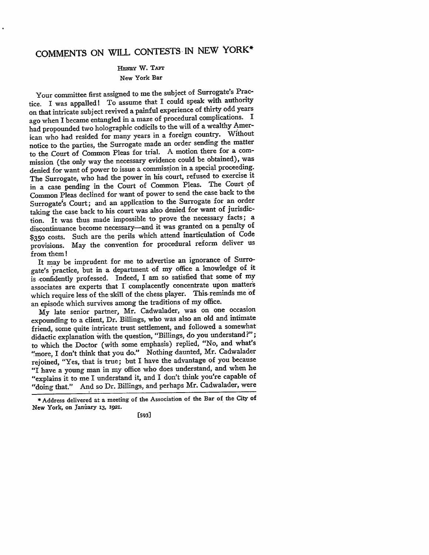## **COMMENTS ON** WILL **CONTESTS IN NEW** YORK\*

## **HENRY W. TAFT** New York Bar

Your committee first assigned to me the subject of Surrogate's Practice. I was appalled! To assume that I could speak with authority on that intricate subject revived a painful experience of thirty odd years ago when I became entangled in a maze of procedural complications. I had propounded two holographic codicils to the will of a wealthy American who had resided for many years in a foreign country. Without notice to the parties, the Surrogate made an order sending the matter to the Court of Common Pleas for trial. **A** motion there for a commission (the only way the necessary evidence could be obtained), was denied for want of power to issue a commission in a special proceeding. The Surrogate, who had the power in his court, refused to exercise it in a case pending in the Court of Common Pleas. The Court **of** Common Pleas declined for want of power to send the case back to the Surrogate's Court; and an application to the Surrogate for an order taking the case back to his court was also denied for want of jurisdiction. It was thus made impossible to prove the necessary facts; a discontinuance become necessary-and it was granted on a penalty of **\$350** costs. Such are the perils which attend inarticulation of Code provisions. May the convention for procedural reform deliver us from them!

It may be imprudent **for** me to advertise an ignorance of Surrogate's practice, but in a department of my office a knowledge of it is confidently professed. Indeed, I am so satisfied that some of my associates are experts that I complacently concentrate upon matters which require less of the skill of the chess player. This reminds me of an episode which survives among the traditions of my office.

My late senior partner, Mr. Cadwalader, was on one occasion expounding to a client, Dr. Billings, who was also an old and intimate friend, some quite intricate trust settlement, and followed a somewhat didactic explanation with the question, "Billings, do you understand?"; to which the Doctor (with some emphasis) replied, "No, and what's "more, I don't think that you do." Nothing daunted, Mr. Cadwalader rejoined, "Yes, that is true; but I have the advantage of you because "I have a young man in my office who does understand, and when he "explains it to me I understand it, and I don't think you're capable of "doing that." And so Dr. Billings, and perhaps Mr. Cadwalader, were

**<sup>\*</sup>** Address delivered at a meeting of the Association of the Bar of the City of New York, on January **13, I92.**

**<sup>[593]</sup>**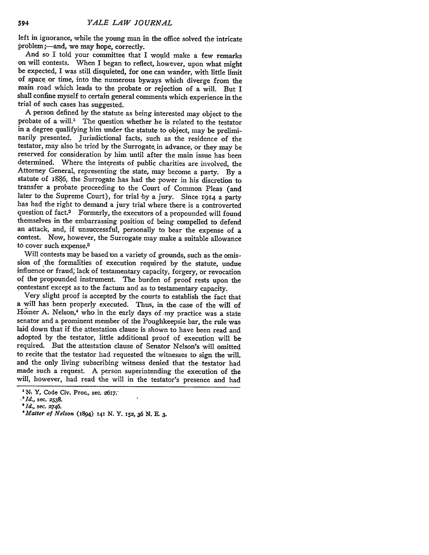left in ignorance, while the young man in the office solved the intricate problem ;- and, we may hope, correctly.

And so I told your committee that I would make a few remarks on will contests. When I began to reflect, however, upon what might be expected, I was still disquieted, for one can wander, with little limit of space or time, into the numerous byways which diverge from the main road which leads to the probate or rejection of a will. But I shall confine myself to certain general comments which experience in the trial of such cases has suggested.

A person defined by the statute as being interested may object to the probate of a will." The question whether he is related to the testator in a degree qualifying him under the statute to object, may be preliminarily presented. Jurisdictional facts, such as the residence of the testator, may also be tried by the Surrogate, in advance, or they may be reserved for consideration by him until after the main issue has been determined. Where the interests of public charities are involved, the Attorney General, representing the state, may become a party. By a statute of I886, the Surrogate has had the power in his discretion to transfer a probate proceeding to the Court of Common Pleas (and later to the Supreme Court), for trial 'by a jury. Since **1914** a party has had the right to demand a jury trial where there is a controverted question of fact.<sup>2</sup> Formerly, the executors of a propounded will found themselves in the embarrassing position of being compelled to defend an attack, and, if unsuccessful, personally to bear the expense of a contest. Now, however, the Surrogate may make a suitable allowance to cover such expense.3

Will contests may be based on a variety of grounds, such as the omission of the formalities of execution required by the statute, undue influence or fraud; lack of testamentary capacity, forgery, or revocation of the propounded instrument. The burden of proof rests upon the contestant except as to the factum and as to testamentary capacity.

Very slight proof is accepted by the courts to establish the fact that a will has been properly executed. Thus, in the case of the will of Homer A. Nelson,<sup>4</sup> who in the early days of my practice was a state senator and a prominent member of the Poughkeepsie bar, the rule was laid down that if the attestation clause is shown to have been read and adopted by the testator, little additional proof of execution will be required. But the attestation clause of Senator Nelson's will omitted to recite that the testator had requested the witnesses to sign the will. and the only living subscribing witness denied that the testator had made such a request. A person superintending the execution of the will, however, had read the will in the testator's presence and had

*<sup>&#</sup>x27;N,* Y, Code Civ. Proc., sec. **2617.'**

*<sup>-&#</sup>x27;Id.,* **sec. 2538.**

*<sup>&#</sup>x27;Id.,* **sec.** 2746.

*<sup>&</sup>quot;Matter of Nelson* (1894) **141 N.** Y. *i52,* **36** *N. E. 3.*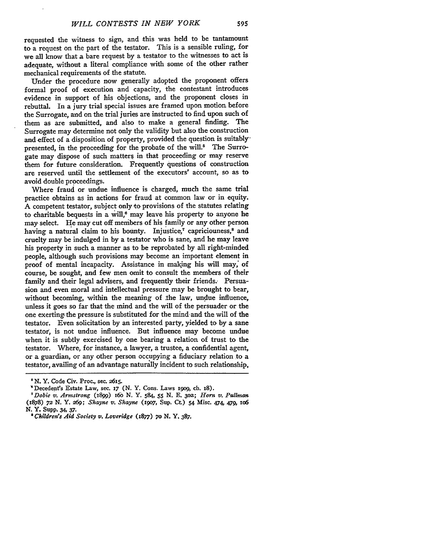requested the witness to sign, and this was held to be tantamount to a request on the part of the testator. This is a sensible ruling, for we all know that a bare request by a testator to the witnesses to act is adequate, without a literal compliance with some of the other rather mechanical requirements of the statute.

Under the procedure now generally adopted the proponent offers formal proof of execution and capacity, the contestant introduces evidence in support of his objections, and the proponent closes in rebuttal. In a jury trial special issues are framed upon motion before the Surrogate, and on the trial juries are instructed to find upon such of them as are submitted, and also to make a general finding. The Surrogate may determine not only the validity but also the construction and effect of a disposition of property, provided the question is suitably presented, in the proceeding for the probate of the will.<sup>5</sup> The Surrogate may dispose of such matters in that proceeding or may reserve them for future consideration. Frequently questions of construction are reserved until the settlement of the executors' account, so as to avoid double proceedings.

Where fraud or undue influence is charged, much the same trial practice obtains as in actions for fraud at common law or in equity. **A** competent testator, subject only to provisions of the statutes relating to charitable bequests in a will,<sup> $\circ$ </sup> may leave his property to anyone he may select. He may cut off menibers of his family or any other person having a natural claim to his bounty. Injustice,<sup>7</sup> capriciouness,<sup>8</sup> and cruelty may be indulged in **by** a testator who is sane, and he may leave his property in such a manner as to be reprobated **by** all right-minded people, although such provisions may become an important element in proof of mental incapacity. Assistance in naking his will may; of course, be sought, and few men omit to consult the members of their family and their legal advisers, and frequently their friends. Persuasion and even moral and intellectual pressure may be brought to bear, without becoming, within the meaning of the law, undue influence, unless it goes so far that the mind and the will of the persuader or the one exerting the pressure is substituted for the mind and the will of the testator. Even solicitation **by** an interested party, yielded to **by** a sane testator, is not undue influence. But influence may become undue when it is subtly exercised **by** one bearing a relation of trust to the testator. Where, for instance, a lawyer, a trustee, a confidential agent, or a guardian, or any other person occupying a fiduciary relation to a testator, availing of an advantage naturally incident to such relationship,

*<sup>&</sup>quot;* **N.** Y. Code Civ. Proc., sec. **2615.**

<sup>&#</sup>x27;Decedent's Estate Law, sec. **17 (N. Y. Cons.** Laws i9og, ch. 18).

*<sup>7</sup>Dobie v. Armstrong* (i899) *166* **N. Y. 584, 55 N. E.** 3oz; *Horn v. Pullman* (1878) **72** *N.* Y. **269;** *Shayne v. Shayne* **(1907, Sup. Ct) 54 Misc. 474, 479, io6 N.** Y. Supp. **34, 37.**

*<sup>\*</sup> Children's Aid Society v. Loveridge* **(1877) 70 N.** Y. **387.**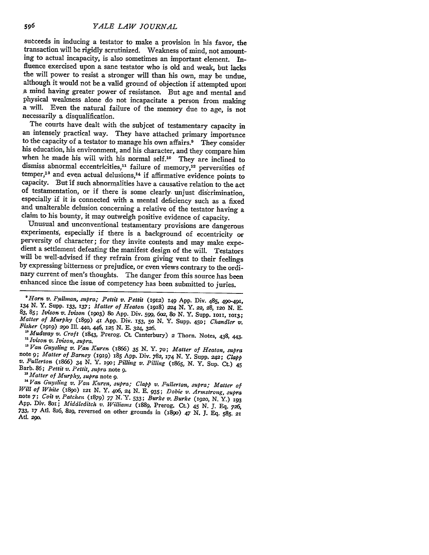succeeds in inducing a testator to make a provision in his favor, the transaction will be rigidly scrutinized. Weakness of mind, not amounting to actual incapacity, is also sometimes an important element. Influence exercised upon a sane testator who is old and weak, but lacks the will power to resist a stronger will than his own, may be undue, although it would not be a valid ground of objection if attempted upon a mind having greater power of resistance. But age and mental and physical weakness alone do not incapacitate a person from making a will. Even the natural failure of the memory due to age, is not necessarily a disqualification.

The courts have dealt with the subjcet of testamentary capacity in an intensely practical way. They have attached primary importance to the capacity of a testator to manage his own affairs.<sup>9</sup> They consider his education, his environment, and his character, and they compare him when he made his will with his normal self.<sup>10</sup> They are inclined to dismiss abnormal eccentricities,<sup>11</sup> failure of memory,<sup>12</sup> perversities of  $temperature$ ,<sup>13</sup> and even actual delusions,<sup>14</sup> if affirmative evidence points to capacity. But if such abnormalities have a causative relation to the act of testamentation, or if there is some clearly. unjust discrimination, especially if it is connected with a mental deficiency such as a fixed and unalterable delusion concerning a relative of the testator having a claim to his bounty, it may outweigh positive evidence of capacity.

Unusual and unconventional testamentary provisions are dangerous experiments, especially if there is a background of eccentricity or perversity of character; for they invite contests and may make expedient a settlement defeating the manifest design of the will. Testators will be well-advised if they refrain from giving vent to their feelings by expressing bitterness or prejudice, or even views contrary to the ordinary current of men's thoughts. The danger from this source has been enhanced since the issue of competency has been submitted to juries.

<sup>9</sup> Horn v. Pullman, supra; Pettit v. Pettit (1912) 149 App. Div. 485, 490-491, 134 N. Y. Supp. 133, 137; Matter of Heaton (1918) 224 N. Y. 22, 28, 120 N. E. 83, 85; Ivison v. Ivison (1903) 80 App. Div. 599, 602, 80 N. Y. Matter of Murphy (1899) 41 App. Div. 153, 50 N. Y. Supp. 450; Chandler v. Fisher (1919) 290 Ill. 440, 446, 125 N. E. 324, 326.

*Mudway v. Croft* (1843, Prerog. **Ct.** Canterbury) 2 Thorn. Notes, 438, 443. *"Ivison v. Ivison, supra.*

<sup>13</sup> Van Guysling v. Van Kuren (1866) 35 N. Y. 70; Matter of Heaton, supra note 9; Matter of Barney (1919) 185 App. Div. 782, 174 N. Y. Supp. 242; Clapp v. Fullerton (1866) 34 N. Y. 190; Pilling v. Pilling (1865, N. Y. Su Barb. *86; Pettit v. Pettit, supra* note **9.**

*'Matter of Murphy, supra* note **9.** Will of White (1890) 121 N. Y. 406, 24 N. E. 935; Dobie v. Armstrong, supra<br>note 7; Coit v. Patchen (1879) 77 N. Y. 533; Burke v. Burke (1920, N. Y.) 193<br>App. Div. 801; Middleditch v. Williams (1889, Prerog. Ct.) 45 N. J. At. *29o.*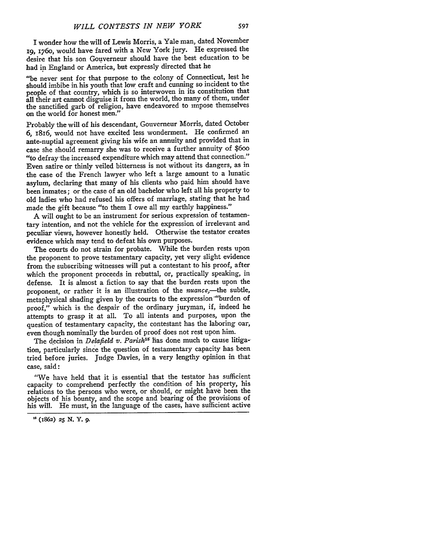597

I wonder how the will of Lewis Morris, a Yale man, dated November **19, 176o,** would have fared with a New York jury. He expressed the desire that his. son Gouverneur should have the best education to be had in England or America, but expressly directed that he

"be never sent for that purpose to the colony of Connecticut, lest he should imbibe in his youth that low craft and cunning so incident to the people of that country, which is so interwoven in its constitution that all their art cannot disguise it from the world, tho many of them, under the sanctified garb of religion, have endeavored to impose themselves on the world for honest men."

Probably the will of his descendant, Gouverneur Morris, dated October 6, 1816, would not have excited less wonderment. He confirmed an ante-nuptial agreement giving his wife an annuity and provided that in case she should remarry she was to receive a further annuity of **\$6oo** "to defray the increased expenditure which may attend that connection." Even satire or thinly veiled bitterness is not without its dangers, as in the case of the French lawyer who left a large amount to a lunatic asylum, declaring that many of his clients who paid him should have been inmates; or the case of an old bachelor who left all his property to old ladies who had refused his offers of marriage, stating that he had made the gift because "to them I owe all my earthly happiness."

**A** will ought to be an instrument for serious expression of testamentary intention, and not the vehicle for the expression of irrelevant and peculiar views, however honestly held. Otherwise the testator creates evidence which may tend to defeat his own purposes.

The courts do not strain for probate. While the burden rests upon the proponent to prove testamentary capacity, yet very slight evidence from the subscribing witnesses will put a contestant to his proof, after which the proponent proceeds in rebuttal, or, practically speaking, in defense. It is almost a fiction to say that the burden rests upon the proponent, or rather it is an illustration of the *nuance*,—the subtle, metaphysical shading given by the courts to the expression "burden of proof," which is the despair of the ordinary juryman, if, indeed he attempts to grasp it at all. To all intents and purposes, upon the question of testamentary capacity, the contestant has the laboring oar, even though nominally the burden of proof does not rest upon him.

The decision in *Delafield v. Parish'5* has done much to cause litigation, particularly since the question of testamentary capacity has been tried before juries. Judge Davies, in a very lengthy opinion in that case, said:

"We have held that it is essential that the testator has sufficient capacity to comprehend perfectly the condition of his property, his relations to the persons who were, or should, or might have been the objects of his bounty, and the scope and bearing of the provisions of his will. He must, in the language of the cases, have sufficient active

**<sup>&</sup>quot; (1862) 25 N.** Y. **9.**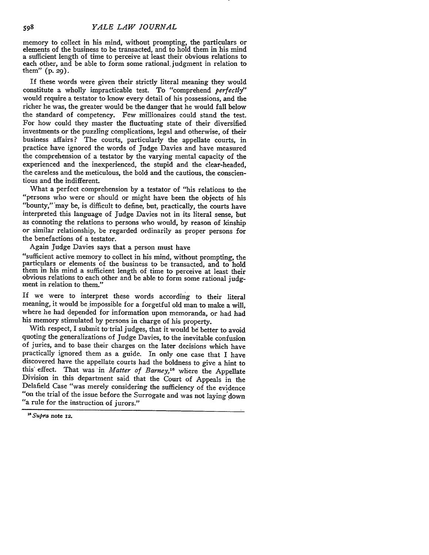memory to collect in his mind, without prompting, the particulars or elements of the business to be transacted, and to hold them in his mind a sufficient length of time to perceive at least their obvious relations to each other, and be able to form some rational. judgment in relation to them" *(p.* 29).

If these words were given their strictly literal meaning they would constitute a wholly impracticable test. To "comprehend *perfectly'"* would require a testator to know every detail of his possessions, and the richer he was, the greater would be the danger that he would fall below the standard of competency. Few millionaires could stand the test. For how could they master the fluctuating state of their diversified investments or the puzzling complications, legal and otherwise, of their business affairs? The courts, particularly the appellate courts, in practice have ignored the words of Judge Davies and have measured the comprehension of a testator by the varying mental capacity of the experienced and the inexperienced, the stupid and the clear-headed, the careless and the meticulous, the bold and the cautious, the conscientious and the indifferent.

What a perfect comprehension by a testator of "his relations to the "persons who were or should or might have been the objects of his "bounty," may be, is difficult to define, but, practically, the courts have interpreted this language of Judge Davies not in its literal sense, but as connoting the relations to persons who would, by reason of kinship or similar relationship, be regarded ordinarily as proper persons for the benefactions of a testator.

Again Judge Davies says that a person must have

"sufficient active memory to collect in his mind, without prompting, the particulars or elements of the business to be transacted, and to hold them in his mind a sufficient length of time to perceive at least their obvious relations to each other and be able to form some rational judgment in. relation to them."

If we were to interpret these words according to their literal meaning, it would be impossible for a forgetful old man to make a will, where he had depended for information upon memoranda, or had had his memory stimulated by persons in charge of his property.

With respect, I submit to-trial judges, that it would be better to avoid quoting the generalizations of Judge Davies, to the inevitable confusion of juries, and to base their charges on the later decisions which have practically ignored them as a guide. In only one case that I have discovered have the appellate courts had the boldness to give a hint to this effect. That was in *Matter of Barney*,<sup>16</sup> where the Appellate Division in this department said that the Court of Appeals in the Delafield Case "was merely considering the sufficiency of the evidence "on the trial of the issue before the Surrogate and was not laying down "a rule for the instruction of jurors."

*<sup>&#</sup>x27; 6 Supra* note 12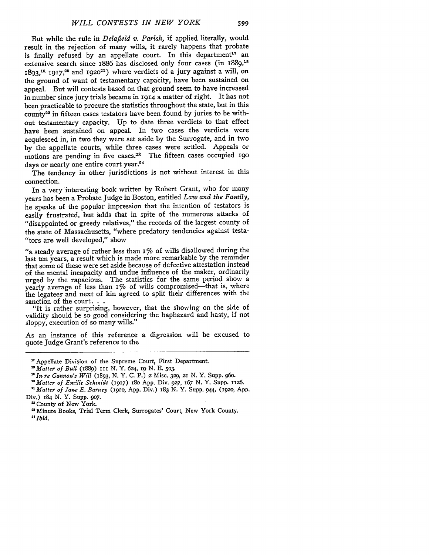But while the rule in *Delafield v. Parish,* if applied literally, would result in the rejection of many wills, it rarely happens that probate is finally refused by an appellate court. In this department' an extensive search since 1886 has disclosed only four cases (in 1889,18 1893,19' 1917,20 and **192o21)** where verdicts of a jury against a will, on the ground of want of testamentary capacity, have been sustained on appeal. But will contests based on that ground seem to have increased in number since jury trials became in 1914 a matter of right. It has not been practicable to procure the statistics throughout the state, but in this county<sup>22</sup> in fifteen cases testators have been found by juries to be without testamentary capacity. Up to date three verdicts to that effect have been sustained on appeal. In two cases the verdicts were acquiesced in, in two they were set aside by the Surrogate, and in two by the appellate courts, while three cases were settled. Appeals or motions are pending in five cases.<sup>23</sup> The fifteen cases occupied 190 days or nearly one entire court year.<sup>24</sup>

The tendency in other jurisdictions is not without interest in this connection.

In a very interesting book written by Robert Grant, who for many years has been a Probate Judge in Boston, entitled *Law and the Family,* he speaks of the popular impression that the intention of testators is easily frustrated, but adds that in spite of the numerous attacks of "disappointed or greedy relatives," the records of the largest county of the state of Massachusetts, "where predatory tendencies against testa- "tors are well developed," show

"a steady average of rather less than **1%** of wills disallowed during the last ten years, a result which is made more remarkable by the reminder that some of these were set aside because of defective attestation instead of the mental incapacity and undue influence of the maker, ordinarily urged by the rapacious. The statistics for the same period show a yearly average of less than  $I\%$  of wills compromised-that is, where the legatees and next of kin agreed to split their differences with the sanction of the court...

"It is rather surprising, however, that the showing on the side of validity should be so good considering the haphazard and hasty, if not sloppy, execution of so many wills."

As an instance of this reference a digression will be excused to quote Judge Grant's reference to the

<sup>&</sup>lt;sup>17</sup> Appellate Division of the Supreme Court, First Department.

*<sup>&</sup>lt;sup>18</sup> Matter of Bull* (1889) III N. Y. 624, 19 N. E. 503.

*<sup>&</sup>quot; In re Gannon's Will* (1893, **N.** Y. **C.** P.) 2 Misc. **329,** 21 *N.* Y. Supp. *960.*

*<sup>&</sup>quot;Matter of Emilie Schmidt (1917)* i8o **App.** Div. **927,** 167 **N.** Y. Supp. *1126.* <sup>21</sup> Matter of Jane *E. Barney* (1920, App. Div.) 183 N.Y. Supp. 944, (1920, App. Div.) 184 **N.** Y. Supp. 9o7.

<sup>&</sup>lt;sup>22</sup> County of New York.

<sup>&</sup>lt;sup>28</sup> Minute Books, Trial Term Clerk, Surrogates' Court, New York County. *11 Ibid.*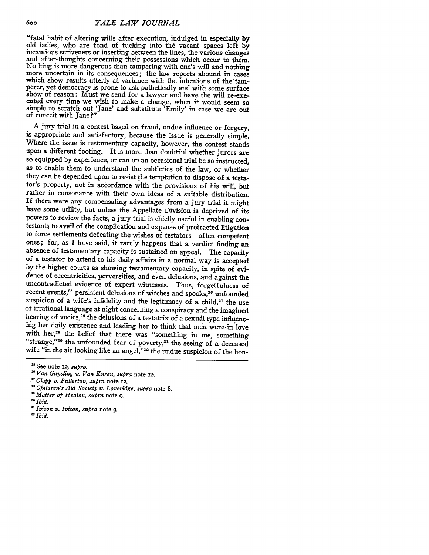"fatal habit of altering wills after execution, indulged in especially by old ladies, who are fond of tucking into the vacant spaces left by incautious scriveners or inserting between the lines, the various changes and aft Nothing is more dangerous than tampering with one's will and nothing more uncertain in its consequences; the law reports abound in cases which show results utterly at variance with the intentions of the tamperer, yet democracy is prone to ask pathetically and with some surface show of reason: Must we send for a lawyer and have the will re-executed every time we wish to make a change, when it would seem so simple to scratch out 'Jane' and substitute 'Emily' in case we are out of conceit with Jane?"

A jury trial in a contest based on fraud, undue influence or forgery, is appropriate and satisfactory, because the issue is generally simple. Where the issue is testamentary capacity, however, the contest stands upon a different footing. It is more than doubtful whether jurors are so equipped by experience, or can on an occasional trial be so instructed, as to enable them to understand the subtleties of the law, or whether they can be depended upon to resist the temptation to dispose of a testator's property, not in accordance with the provisions- of his will, but rather in consonance with their own ideas of a suitable distribution. If there were any compensating advantages from a jury trial it might have some utility, but unless the Appellate Division is deprived of its powers to review the facts, a jury trial is chiefly useful in enabling contestants to avail of the complication and expense of protracted litigation to force settlements defeating the wishes of testators-often competent ones; for, as I have said, it rarely happens that a verdict finding an absence of testamentary capacity is sustained on appeal. The capacity of a testator to attend to his daily affairs in a norimal way is accepted by the higher courts as showing testamentary capacity, in spite of evidence of eccentricities, perversities, and even delusions, and against the uncontradicted evidence of expert witnesses. Thus, forgetfulness of recent events,<sup>26</sup> persistent delusions of witches and spooks,<sup>26</sup> unfounded suspicion of a wife's infidelity and the legitimacy of a child,<sup>27</sup> the use of irrational language at night concerning a conspiracy and the imagined hearing of vocies,<sup>28</sup> the delusions of a testatrix of a sexual type influencing her daily existence and leading her to think that men were in love with her,<sup>29</sup> the belief that there was "something in me, something "strange,"30 the unfounded fear of poverty,<sup>31</sup> the seeing of a deceased wife "in the air looking like an angel,"<sup>32</sup> the undue suspicion of the hon-

- *so Ibid.*
- *Ivison v. Ivison, supra* note **9.**
- *"Ibid.*

See note *i2, supra.*

<sup>&#</sup>x27; *Van Guysling v. Van Kuren, supra* note **I2.**

*<sup>-&#</sup>x27;Clapp v. Fullerton, supra* note **12.**

<sup>&</sup>lt;sup>28</sup> Children's Aid Society v. Loveridge, supra note 8.

*<sup>&#</sup>x27; Matter of Heaton, supra* note *9.*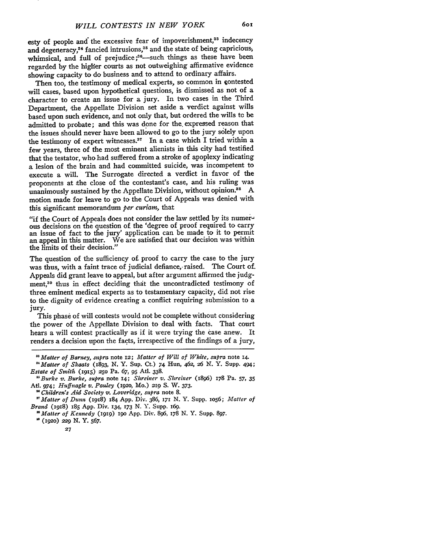esty of people and the excessive fear of impoverishment,<sup>33</sup> indecency and degeneracy,<sup>34</sup> fancied intrusions,<sup>35</sup> and the state of being capricious, whimsical, and full of prejudice;<sup>36</sup>-such things as these have been regarded by the higher courts as not outweighing affirmative evidence showing capacity to do business and to attend to ordinary affairs.

Then too, the testimony of medical experts, so common in contested will cases, based upon hypothetical questions, is dismissed as not of a character to create an issue for a jury. In two cases in the Third Department, the Appellate Division set aside a verdict against wills based upon such evidence, and not only that, but ordered the wills tc be admitted to probate; and this was done for the. expressed reason that the issues should never have been allowed to go to the jury solely upon the testimony of expert witnesses.<sup>37</sup> In a case which I tried within a few years, three of the most eminent alienists in this city had testified that the testator, who had suffered from a stroke of apoplexy indicating a lesion of the brain and had committed suicide, was incompetent to execute a will. The Surrogate directed a verdict in favor of the proponents at the close of the contestant's case, and his ruling was unanimously sustained by the Appellate Division, without opinion.<sup>38</sup> A motion made for leave to go to the Court of Appeals was denied with this significant memorandum *per curiam,* that

"if the Court of Appeals does not consider the law settled **by** its numer ous decisions on the question of the 'degree of proof required to carry an issue of fact to the jury' application can be made to it to permit an appeal in this matter. We are satisfied that our decision was within the limits of their decision."

The question of the sufficiency of proof to carry the case to the jury was thus, with a faint trace of judicial defiance, raised. The Court of. Appeals did grant leave to appeal, but after argument affirmed the judgment,39 thus in effect deciding that the uncontradicted testimony of three eminent medical experts as to testamentary capacity, did not rise to the dignity of evidence creating a conflict requiring submission to a jury.

This phase of will contests would not be complete without considering the power of the Appellate Division to deal with facts. That court hears a will contest practically as if it were trying the case anew. It renders a decision upon the facts, irrespective of the findings of a jury,

*<sup>&#</sup>x27;Matter of Barney, supra* note **12;** *Matter of Will of White, supra* note 14. *"Matter of Skaats (1893, N.* Y. Sup. **Ct.)** 74 Hun, 462, 26 *N.* Y. Supp. 494; *Estate of Smith* **(915)** *250* Pa. *67,* **95** At. **338.**

*<sup>&#</sup>x27;Burke v. Burke, supra* note 14; *Shreiner v. Shreiner* (x896) 178 Pa. 57, 35 At. 974; *Huffnagle v. Pauley* (920, Mo.) 219 **S.** W. **373.**

*<sup>&</sup>quot;Children's Aid Society v. Loveridge, supra* note **8.**

*<sup>&#</sup>x27;Matter of Dunn* (1918) 184 **App.** Div. 386, 171 **N.** Y. Supp. lO56; *Matter of Brand* (1918) **185 App.** Div. **134,** 173 *N.* Y. Supp. i6g.

*<sup>&#</sup>x27;Matter of Kennedy (igig) igo* **App.** Div. **896, ,78 N.** Y. Supp. **897.**

**<sup>10</sup>** *(i920)* 229 N. Y. 567.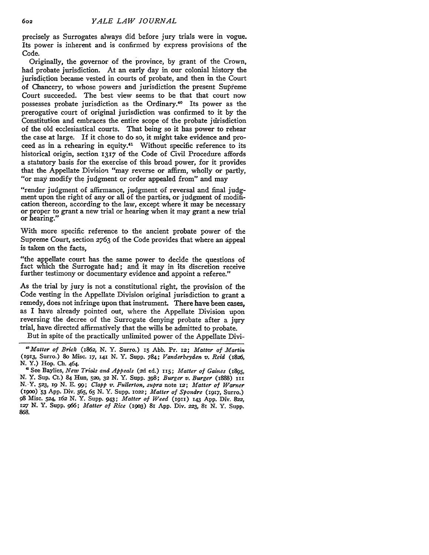precisely as Surrogates always did before jury trials were in vogue. Its power is inherent and is confirmed by express provisions of the Code.

Originally, the governor of the province, by grant of the Crown, had probate jurisdiction. At an early day in our colonial history the jurisdiction became vested in courts of probate, and then in the Court of Chancery, to whose powers and jurisdiction the present Supreme Court succeeded. The best view seems to be that that court now possesses probate jurisdiction as the Ordinary.<sup>40</sup> Its power as the prerogative court of original jurisdiction was confirmed to it by the Constitution and embraces the entire scope of the probate jurisdiction of the old ecclesiastical courts. That being so it has power to rehear the case at large. If it chose to do so, it might take evidence and proceed as in a rehearing in equity.<sup>41</sup> Without specific reference to its historical origin, section **1317** of the Code of Civil Procedure affords a statutory basis for the exercise of this broad power, for it provides that the Appellate Division "may reverse or affirm, wholly or partly, "or may modify the judgment or order appealed from" and may

"render judgment of affirmance, judgment of reversal and final judgment upon the right of any or all of the parties, or judgment of modification thereon, according to the law, except where it may be necessary or proper to grant a new trial or hearing when it may grant a new trial or hearing."

With more specific reference to the ancient probate power of the Supreme Court, section 2763 of the Code provides that where an appeal is taken on the facts,

"the appellate court has the same power to decide the questions of fact which the Surrogate had; and it may in its discretion receive further testimony or documentary evidence and appoint a referee."

As the trial by jury is not a constitutional right, the provision of the Code vesting in the Appellate Division original jurisdiction to grant a remedy, does not infringe upon that instrument. There have been cases, as I have already pointed out, where the Appellate Division upon reversing the decree of the Surrogate denying probate after a jury trial, have directed affirmatively that the wills be admitted to probate.

But in spite of the practically unlimited power of the Appellate Divi-

<sup>&</sup>quot;Matter of Brick *(1862,* **N.** Y. Surro.) **I5** Abb. Pr. 12; *Matter of Martin* **(1913,** Surro.) **80** Misc. **17, 141 N.** Y. Supp. 784; *Vanderbeyden v. Reid* (1826, **N.** Y.) Hop. **Ch.** 464.

**<sup>&#</sup>x27;** See Baylies, *New Trials and Appeals* **(2d** ed.) iz5; *Matter of Gaines* (I895, **N. Y.** Sup. Ct.) 84 Hun, **520, 32 N.** Y. Supp. **398;** Burger v. Burger (1888) **11i** *N..Y. 523,* **i9** *N.* **E. 99;** *Clapp v. Fullerton, supra* note **iz;** *Matter of Warner* **(1900)** 53 **App.** Div. **56s, 65 N.** Y. Supp. **io22;** *Matter of Spondre* (1917, Surro.) **8** Misc. **524,** *162* N. Y. Supp. **943;** *Matter of Weed* (Igl1) **143 App.** Div. 822, **i27 N.** Y. Supp. **966;** Matter of *Rice* (i9o3) **8I App.** Div. **223,** 81 N. Y. Supp. **868.**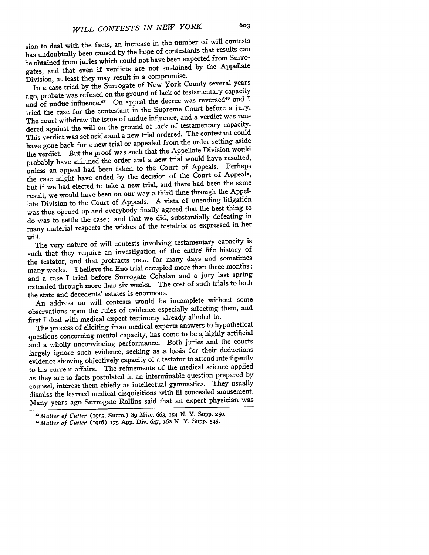sion to deal with the facts, an increase in the number of will contests has undoubtedly been caused by the hope of contestants that results can be obtained from juries which could not have been expected from Surrogates, and that even if verdicts are not sustained by the Appellate Division, at least they may result in a compromise.

In a case tried by the Surrogate of New York County several years ago, probate was refused on the ground of lack of testamentary capacity and of undue influence.<sup>42</sup> On appeal the decree was reversed<sup>43</sup> and  $\overline{I}$ tried the case for the contestant in the Supreme Court before a jury. The court withdrew the issue of undue influence, and a verdict was rendered against the will on the ground of lack of testamentary capacity. This verdict was set aside and a new trial ordered. The contestant could have gone back for a new trial or appealed from the order setting aside the verdict. But the proof was such that the Appellate Division would probably have affirmed the order and a new trial would haye resulted, unless an appeal had been taken to the Court of Appeals. Perhaps the case might have ended by the decision of the Court of Appeals, but if we had elected to take a new trial, and there had been the same result, we would have been on our way a third time through the Appellate Division to the Court of Appeals. A vista of unending litigation was thus opened up and everybody finally agreed that the best thing to do was to settle the case; and that we did, substantially defeating in many material respects the wishes of the testatrix as expressed in her will.

The very nature of will contests involving testamentary capacity is such that they require an investigation of the entire life history of the testator, and that protracts tne.. for many days and sometimes many weeks. I believe the Eno trial occupied more than three months; and a case I tried before Surrogate Cohalan and a jury last spring extended through more than six weeks. The cost of such trials to both the state and decedents' estates is enormous.

An address on will contests would be incomplete without some observations upon the rules of evidence especially affecting them, and first I deal with medical expert testimony already alluded to.

The process of eliciting from medical experts answers to hypothetical questions concerning mental capacity, has come to be a highly artificial and a wholly unconvincing performance. Both juries and the courts largely ignore such evidence, seeking as a basis for their deductions evidence showing objectively capacity of a testator to attend intelligently to his current affairs. The refinements of the medical science applied as they are to facts postulated in an interminable question prepared by counsel, interest them chiefly as intellectual gymnastics. They usually dismiss the learned medical disquisitions with ill-concealed amusement. Many years ago Surrogate Rollins said that an expert physician was

*<sup>&#</sup>x27;Matter of Cutter* **(91s,** Surro.) **89** Misc. 663, **154 N.** Y. Supp. **250.**

*<sup>&#</sup>x27;Matter of Cutter* (x96) **T75 App.** Div. 647, 162 **N.** Y. Supp. 545.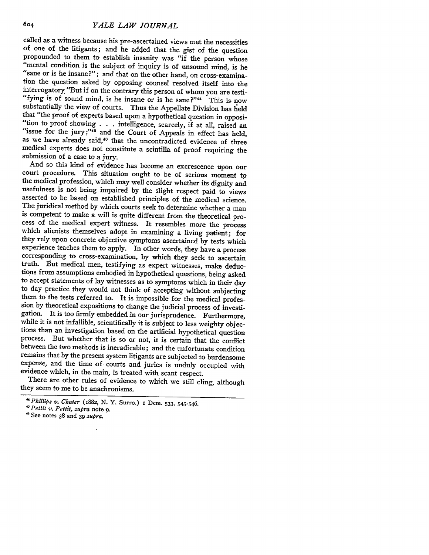called as a witness because his pre-ascertained views met the necessities propounded to them to establish insanity was "if the person whose "mental condition is the subject of inquiry is of unsound mind, is he "sane or is he insane?"; and that on the other hand, on cross-examination the question asked by opposing counsel resolved itself into the interrogatory. "But if on the contrary this person of whom you are testi- "fying is of sound mind, is he insane or is he sane?"<sup>44</sup> This is now substantially the view of courts. Thus the Appellate Division has held that "the proof of experts based upon a hypothetical question in opposi-"tion to proof showing . . . intelligence, scarcely, if at all, raised an "issue for the jury;"<sup>45</sup> and the Court of Appeals in effect has held, as we have already said,<sup>46</sup> that the uncontradicted evidence of three medical experts does not constitute a scintilla of proof requiring the

And so this kind of evidence has become an excrescence upon our court procedure. This situation ought to be of serious moment to the medical profession, which may well consider whether its dignity and usefulness is not being impaired by the slight respect paid to views asserted to be based on established principles of the medical science. The juridical method by which courts seek to determine whether a man is competent to make a will is quite different from the theoretical process of the medical expert witness. It resembles more the process which alienists themselves adopt in examining a living patient; for they rely upon concrete objective symptoms ascertained by tests which experience teaches them to apply. In other words, they have a process corresponding to cross-examination, by which they seek to ascertain truth. But medical men, testifying as expert witnesses, make deductions from assumptions embodied in hypothetical questions, being asked to day practice they would not think of accepting without subjecting<br>them to the tests referred to. It is impossible for the medical profes-<br>sion by theoretical expositions to change the judicial process of investigation. It is too firmly embedded in our jurisprudence. Furthermore, while it is not infallible, scientifically it is subject to less weighty objections than an investigation based on the artificial hypothetical question process. But whether that is so or not, it is certain that the conflict between the two methods is ineradicable; and the unfortunate condition remains that by the present system litigants are subjected to burdensome expense, and the time of courts and juries is unduly occupied with evidence which, in the main, is treated with scant respect.

There are other rules of evidence to which we still cling, although they seem to me to be anachronisms.

"See notes 38 and 39 *supra.*

*<sup>&</sup>quot;Phillips v.* Chafer (1882, **N.** Y. Surro.) i Dem. **533,** 545-546. *'*

*<sup>5</sup> Pettit v. Pettit, supra* note **9.**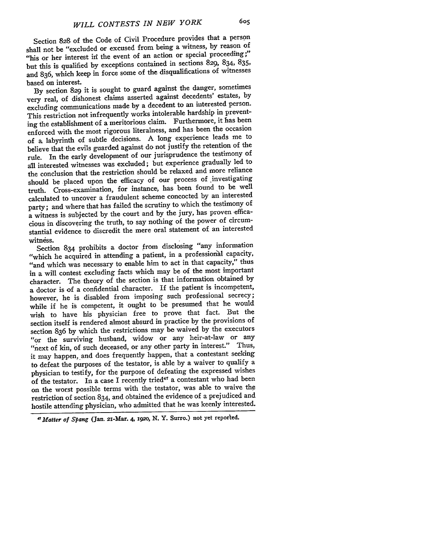Section 828 of the Code of Civil Procedure provides that a person shall not be "excluded or excused from being a witness, by reason of "his or her interest in the event of an action or special proceeding;" but this is qualified by exceptions contained in sections 829, 834, 835, and 836, which keep in force some of the disqualifications of witnesses based on interest.

By section 829 it is sought to guard against the danger, sometimes very real, of dishonest claims asserted against decedents' estates, by excluding communications made by a decedent to an interested person. This restriction not infrequently works intolerable hardship in preventing the establishment of a meritorious claim. Furthermore, it has been enforced with the most rigorous literalness, and has been the occasion of a labyrinth of subtle decisions. A long experience leads me to believe that the evils guarded against do not justify the retention of the rule. In the early development of our jurisprudence the testimony of all interested witnesses was excluded; but experience gradually led to the conclusion that the restriction should be relaxed and more reliance should be placed upon the efficacy of our process of investigating truth. Cross-examination, for instance, has been found to be well calculated to uncover a fraudulent scheme concocted by an interested party; and where that has failed the scrutiny to which the testimony of a witness is subjected by the court and by the jury, has proven efficacious in discovering the truth, to say nothing of the power of circumstantial evidence to discredit the mere oral statement of an interested witness.

Section 834 prohibits a doctor from disclosing "any information "which he acquired in attending a patient, in a professional capacity, "and which was necessary to enable him to act in that capacity," thus in a will contest excluding facts which may be of the most important character. The theory of the section is that information obtained by a doctor is of a confidential character. If the patient is incompetent, however, he is disabled from imposing such professional secrecy; while if he is competent, it ought to be presumed that he would wish to have his physician free to prove that fact. But the section itself is rendered almost absurd in practice by the provisions of section 836 by which the restrictions may be waived by the executors "or the surviving husband, widow or any heir-at-law or any "next of kin, of such deceased, or any other party in interest." Thus, it may happen, and does frequently happen, that a contestant seeking to defeat the purposes of the testator, is able by a waiver to qualify a physician to testify, for the purpose of defeating the expressed wishes of the testator. In a case I recently tried<sup>47</sup> a contestant who had been on the worst possible terms with the testator, was able to waive the restriction of section 834, and obtained the evidence of a prejudiced and hostile attending physician, who admitted that he was keenly interested.

*<sup>&#</sup>x27; Matter of Spang* (Jan. 2i-Mar. 4, **i92o, N.** Y. Surro.) not yet reporled.